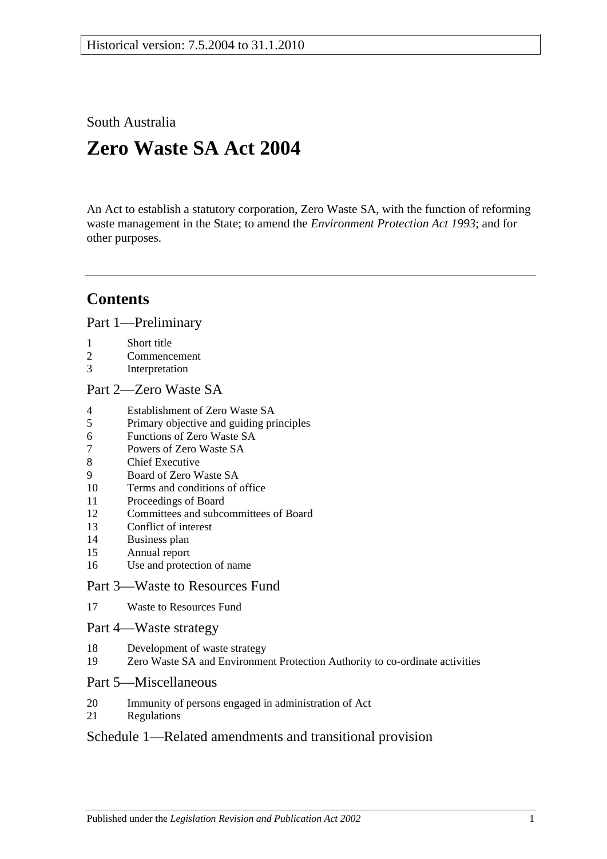South Australia

# **Zero Waste SA Act 2004**

An Act to establish a statutory corporation, Zero Waste SA, with the function of reforming waste management in the State; to amend the *[Environment Protection Act](http://www.legislation.sa.gov.au/index.aspx?action=legref&type=act&legtitle=Environment%20Protection%20Act%201993) 1993*; and for other purposes.

# **Contents**

[Part 1—Preliminary](#page-1-0)

- 1 [Short title](#page-1-1)
- 2 [Commencement](#page-1-2)
- 3 [Interpretation](#page-1-3)

#### [Part 2—Zero Waste SA](#page-2-0)

- 4 [Establishment of Zero Waste SA](#page-2-1)
- 5 [Primary objective and guiding principles](#page-2-2)
- 6 [Functions of Zero Waste SA](#page-3-0)
- 7 [Powers of Zero Waste SA](#page-3-1)
- 8 [Chief Executive](#page-3-2)
- 9 [Board of Zero Waste SA](#page-4-0)
- 10 [Terms and conditions of office](#page-4-1)
- 11 [Proceedings of Board](#page-5-0)
- 12 [Committees and subcommittees of Board](#page-6-0)
- 13 [Conflict of interest](#page-6-1)
- 14 [Business plan](#page-6-2)
- 15 [Annual report](#page-7-0)
- 16 [Use and protection of name](#page-7-1)

#### [Part 3—Waste to Resources Fund](#page-8-0)

17 [Waste to Resources Fund](#page-8-1)

#### [Part 4—Waste strategy](#page-9-0)

- 18 [Development of waste strategy](#page-9-1)
- 19 [Zero Waste SA and Environment Protection Authority to co-ordinate activities](#page-10-0)

#### [Part 5—Miscellaneous](#page-10-1)

- 20 [Immunity of persons engaged in administration of Act](#page-10-2)
- 21 [Regulations](#page-10-3)

#### [Schedule 1—Related amendments and transitional provision](#page-10-4)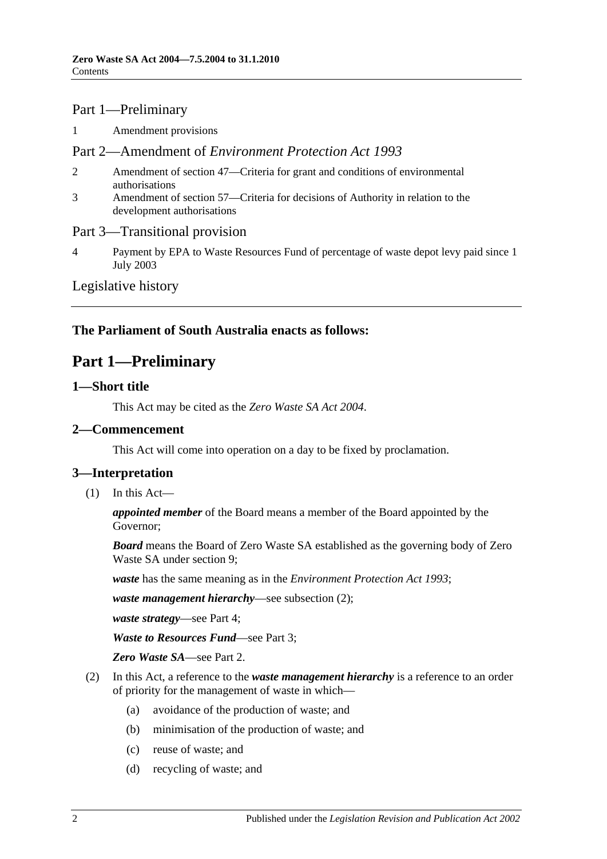#### Part 1—Preliminary

1 [Amendment provisions](#page-10-5)

#### Part 2—Amendment of *Environment Protection Act 1993*

- 2 [Amendment of section 47—Criteria for grant and conditions of environmental](#page-10-6)  [authorisations](#page-10-6)
- 3 [Amendment of section 57—Criteria for decisions of Authority in relation to the](#page-11-0)  [development authorisations](#page-11-0)

#### Part 3—Transitional provision

4 [Payment by EPA to Waste Resources Fund of percentage of waste depot levy paid since 1](#page-11-1)  [July 2003](#page-11-1)

#### [Legislative history](#page-12-0)

### <span id="page-1-0"></span>**The Parliament of South Australia enacts as follows:**

### **Part 1—Preliminary**

#### <span id="page-1-1"></span>**1—Short title**

This Act may be cited as the *Zero Waste SA Act 2004*.

#### <span id="page-1-2"></span>**2—Commencement**

This Act will come into operation on a day to be fixed by proclamation.

#### <span id="page-1-3"></span>**3—Interpretation**

(1) In this Act—

*appointed member* of the Board means a member of the Board appointed by the Governor;

*Board* means the Board of Zero Waste SA established as the governing body of Zero Waste SA under [section](#page-4-0) 9;

*waste* has the same meaning as in the *[Environment Protection Act](http://www.legislation.sa.gov.au/index.aspx?action=legref&type=act&legtitle=Environment%20Protection%20Act%201993) 1993*;

*waste management hierarchy*—see [subsection](#page-1-4) (2);

*waste strategy*—see [Part 4;](#page-9-0)

*Waste to Resources Fund*—see [Part 3;](#page-8-0)

*Zero Waste SA*—see [Part 2.](#page-2-0)

- <span id="page-1-4"></span>(2) In this Act, a reference to the *waste management hierarchy* is a reference to an order of priority for the management of waste in which—
	- (a) avoidance of the production of waste; and
	- (b) minimisation of the production of waste; and
	- (c) reuse of waste; and
	- (d) recycling of waste; and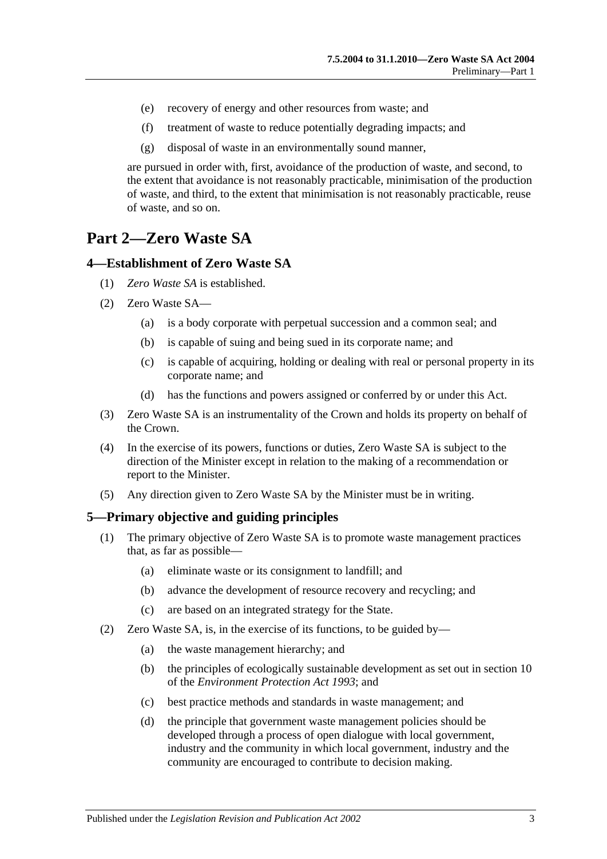- (e) recovery of energy and other resources from waste; and
- (f) treatment of waste to reduce potentially degrading impacts; and
- (g) disposal of waste in an environmentally sound manner,

are pursued in order with, first, avoidance of the production of waste, and second, to the extent that avoidance is not reasonably practicable, minimisation of the production of waste, and third, to the extent that minimisation is not reasonably practicable, reuse of waste, and so on.

# <span id="page-2-0"></span>**Part 2—Zero Waste SA**

#### <span id="page-2-1"></span>**4—Establishment of Zero Waste SA**

- (1) *Zero Waste SA* is established.
- (2) Zero Waste SA—
	- (a) is a body corporate with perpetual succession and a common seal; and
	- (b) is capable of suing and being sued in its corporate name; and
	- (c) is capable of acquiring, holding or dealing with real or personal property in its corporate name; and
	- (d) has the functions and powers assigned or conferred by or under this Act.
- (3) Zero Waste SA is an instrumentality of the Crown and holds its property on behalf of the Crown.
- (4) In the exercise of its powers, functions or duties, Zero Waste SA is subject to the direction of the Minister except in relation to the making of a recommendation or report to the Minister.
- (5) Any direction given to Zero Waste SA by the Minister must be in writing.

#### <span id="page-2-2"></span>**5—Primary objective and guiding principles**

- (1) The primary objective of Zero Waste SA is to promote waste management practices that, as far as possible—
	- (a) eliminate waste or its consignment to landfill; and
	- (b) advance the development of resource recovery and recycling; and
	- (c) are based on an integrated strategy for the State.
- (2) Zero Waste SA, is, in the exercise of its functions, to be guided by—
	- (a) the waste management hierarchy; and
	- (b) the principles of ecologically sustainable development as set out in section 10 of the *[Environment Protection Act](http://www.legislation.sa.gov.au/index.aspx?action=legref&type=act&legtitle=Environment%20Protection%20Act%201993) 1993*; and
	- (c) best practice methods and standards in waste management; and
	- (d) the principle that government waste management policies should be developed through a process of open dialogue with local government, industry and the community in which local government, industry and the community are encouraged to contribute to decision making.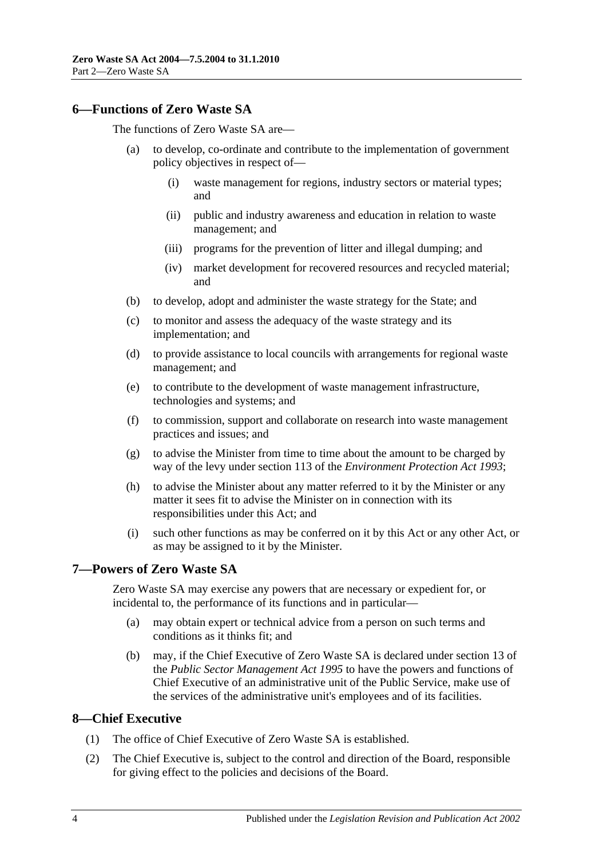#### <span id="page-3-0"></span>**6—Functions of Zero Waste SA**

The functions of Zero Waste SA are—

- (a) to develop, co-ordinate and contribute to the implementation of government policy objectives in respect of—
	- (i) waste management for regions, industry sectors or material types; and
	- (ii) public and industry awareness and education in relation to waste management; and
	- (iii) programs for the prevention of litter and illegal dumping; and
	- (iv) market development for recovered resources and recycled material; and
- (b) to develop, adopt and administer the waste strategy for the State; and
- (c) to monitor and assess the adequacy of the waste strategy and its implementation; and
- (d) to provide assistance to local councils with arrangements for regional waste management; and
- (e) to contribute to the development of waste management infrastructure, technologies and systems; and
- (f) to commission, support and collaborate on research into waste management practices and issues; and
- (g) to advise the Minister from time to time about the amount to be charged by way of the levy under section 113 of the *[Environment Protection Act](http://www.legislation.sa.gov.au/index.aspx?action=legref&type=act&legtitle=Environment%20Protection%20Act%201993) 1993*;
- (h) to advise the Minister about any matter referred to it by the Minister or any matter it sees fit to advise the Minister on in connection with its responsibilities under this Act; and
- (i) such other functions as may be conferred on it by this Act or any other Act, or as may be assigned to it by the Minister.

#### <span id="page-3-1"></span>**7—Powers of Zero Waste SA**

Zero Waste SA may exercise any powers that are necessary or expedient for, or incidental to, the performance of its functions and in particular—

- (a) may obtain expert or technical advice from a person on such terms and conditions as it thinks fit; and
- (b) may, if the Chief Executive of Zero Waste SA is declared under section 13 of the *[Public Sector Management Act](http://www.legislation.sa.gov.au/index.aspx?action=legref&type=act&legtitle=Public%20Sector%20Management%20Act%201995) 1995* to have the powers and functions of Chief Executive of an administrative unit of the Public Service, make use of the services of the administrative unit's employees and of its facilities.

#### <span id="page-3-2"></span>**8—Chief Executive**

- (1) The office of Chief Executive of Zero Waste SA is established.
- (2) The Chief Executive is, subject to the control and direction of the Board, responsible for giving effect to the policies and decisions of the Board.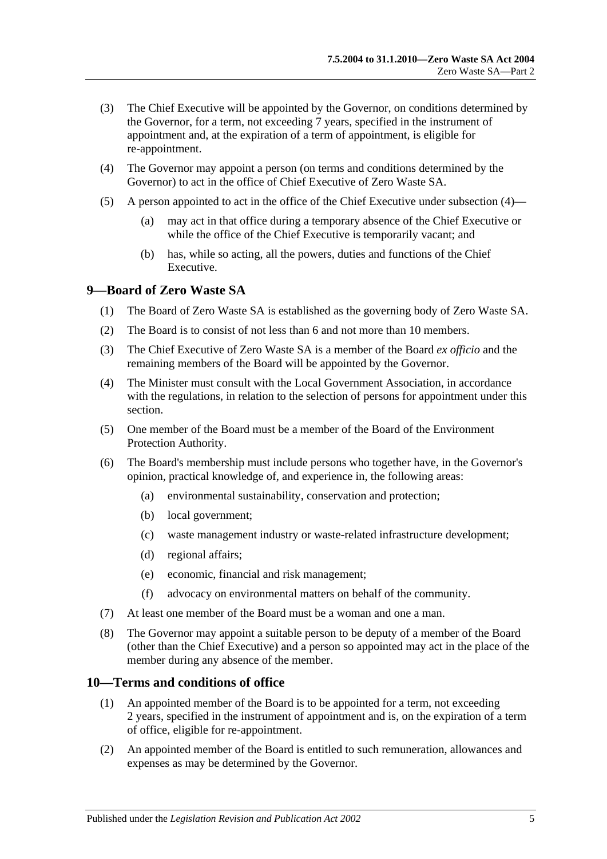- (3) The Chief Executive will be appointed by the Governor, on conditions determined by the Governor, for a term, not exceeding 7 years, specified in the instrument of appointment and, at the expiration of a term of appointment, is eligible for re-appointment.
- <span id="page-4-2"></span>(4) The Governor may appoint a person (on terms and conditions determined by the Governor) to act in the office of Chief Executive of Zero Waste SA.
- (5) A person appointed to act in the office of the Chief Executive under [subsection](#page-4-2) (4)—
	- (a) may act in that office during a temporary absence of the Chief Executive or while the office of the Chief Executive is temporarily vacant; and
	- (b) has, while so acting, all the powers, duties and functions of the Chief Executive.

#### <span id="page-4-0"></span>**9—Board of Zero Waste SA**

- (1) The Board of Zero Waste SA is established as the governing body of Zero Waste SA.
- (2) The Board is to consist of not less than 6 and not more than 10 members.
- (3) The Chief Executive of Zero Waste SA is a member of the Board *ex officio* and the remaining members of the Board will be appointed by the Governor.
- (4) The Minister must consult with the Local Government Association, in accordance with the regulations, in relation to the selection of persons for appointment under this section.
- (5) One member of the Board must be a member of the Board of the Environment Protection Authority.
- (6) The Board's membership must include persons who together have, in the Governor's opinion, practical knowledge of, and experience in, the following areas:
	- (a) environmental sustainability, conservation and protection;
	- (b) local government;
	- (c) waste management industry or waste-related infrastructure development;
	- (d) regional affairs;
	- (e) economic, financial and risk management;
	- (f) advocacy on environmental matters on behalf of the community.
- (7) At least one member of the Board must be a woman and one a man.
- (8) The Governor may appoint a suitable person to be deputy of a member of the Board (other than the Chief Executive) and a person so appointed may act in the place of the member during any absence of the member.

#### <span id="page-4-1"></span>**10—Terms and conditions of office**

- (1) An appointed member of the Board is to be appointed for a term, not exceeding 2 years, specified in the instrument of appointment and is, on the expiration of a term of office, eligible for re-appointment.
- (2) An appointed member of the Board is entitled to such remuneration, allowances and expenses as may be determined by the Governor.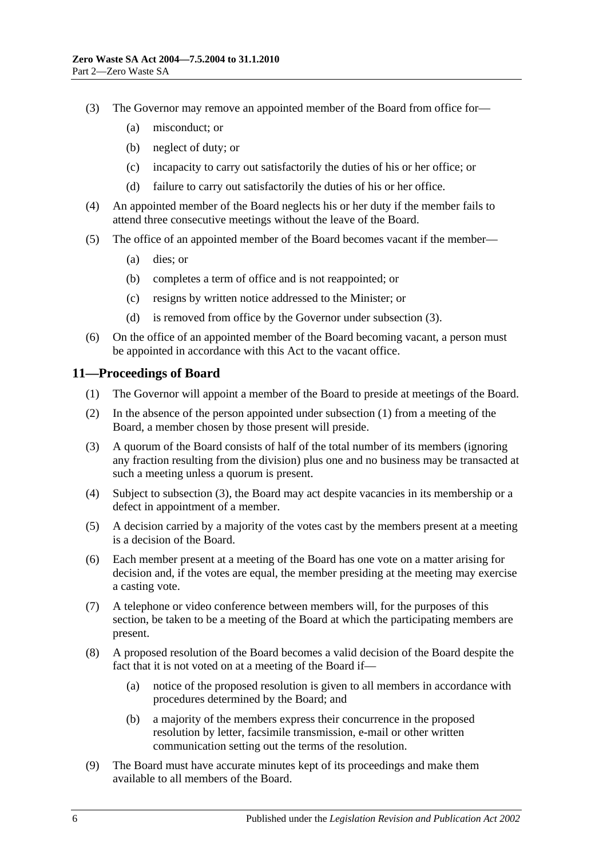- <span id="page-5-1"></span>(3) The Governor may remove an appointed member of the Board from office for—
	- (a) misconduct; or
	- (b) neglect of duty; or
	- (c) incapacity to carry out satisfactorily the duties of his or her office; or
	- (d) failure to carry out satisfactorily the duties of his or her office.
- (4) An appointed member of the Board neglects his or her duty if the member fails to attend three consecutive meetings without the leave of the Board.
- (5) The office of an appointed member of the Board becomes vacant if the member—
	- (a) dies; or
	- (b) completes a term of office and is not reappointed; or
	- (c) resigns by written notice addressed to the Minister; or
	- (d) is removed from office by the Governor under [subsection](#page-5-1) (3).
- (6) On the office of an appointed member of the Board becoming vacant, a person must be appointed in accordance with this Act to the vacant office.

#### <span id="page-5-2"></span><span id="page-5-0"></span>**11—Proceedings of Board**

- (1) The Governor will appoint a member of the Board to preside at meetings of the Board.
- (2) In the absence of the person appointed under [subsection](#page-5-2) (1) from a meeting of the Board, a member chosen by those present will preside.
- <span id="page-5-3"></span>(3) A quorum of the Board consists of half of the total number of its members (ignoring any fraction resulting from the division) plus one and no business may be transacted at such a meeting unless a quorum is present.
- (4) Subject to [subsection](#page-5-3) (3), the Board may act despite vacancies in its membership or a defect in appointment of a member.
- (5) A decision carried by a majority of the votes cast by the members present at a meeting is a decision of the Board.
- (6) Each member present at a meeting of the Board has one vote on a matter arising for decision and, if the votes are equal, the member presiding at the meeting may exercise a casting vote.
- (7) A telephone or video conference between members will, for the purposes of this section, be taken to be a meeting of the Board at which the participating members are present.
- (8) A proposed resolution of the Board becomes a valid decision of the Board despite the fact that it is not voted on at a meeting of the Board if—
	- (a) notice of the proposed resolution is given to all members in accordance with procedures determined by the Board; and
	- (b) a majority of the members express their concurrence in the proposed resolution by letter, facsimile transmission, e-mail or other written communication setting out the terms of the resolution.
- (9) The Board must have accurate minutes kept of its proceedings and make them available to all members of the Board.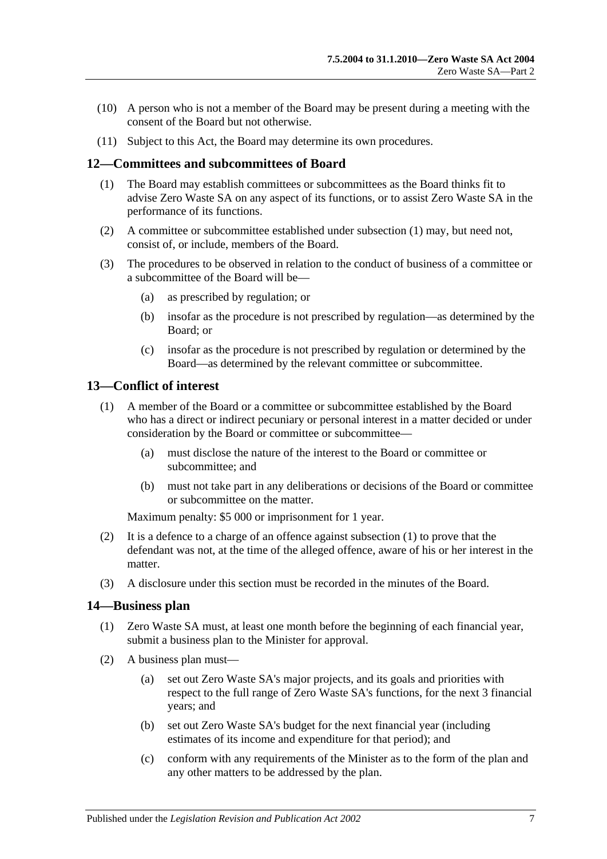- (10) A person who is not a member of the Board may be present during a meeting with the consent of the Board but not otherwise.
- (11) Subject to this Act, the Board may determine its own procedures.

#### <span id="page-6-3"></span><span id="page-6-0"></span>**12—Committees and subcommittees of Board**

- (1) The Board may establish committees or subcommittees as the Board thinks fit to advise Zero Waste SA on any aspect of its functions, or to assist Zero Waste SA in the performance of its functions.
- (2) A committee or subcommittee established under [subsection](#page-6-3) (1) may, but need not, consist of, or include, members of the Board.
- (3) The procedures to be observed in relation to the conduct of business of a committee or a subcommittee of the Board will be—
	- (a) as prescribed by regulation; or
	- (b) insofar as the procedure is not prescribed by regulation—as determined by the Board; or
	- (c) insofar as the procedure is not prescribed by regulation or determined by the Board—as determined by the relevant committee or subcommittee.

#### <span id="page-6-1"></span>**13—Conflict of interest**

- (1) A member of the Board or a committee or subcommittee established by the Board who has a direct or indirect pecuniary or personal interest in a matter decided or under consideration by the Board or committee or subcommittee—
	- (a) must disclose the nature of the interest to the Board or committee or subcommittee; and
	- (b) must not take part in any deliberations or decisions of the Board or committee or subcommittee on the matter.

Maximum penalty: \$5 000 or imprisonment for 1 year.

- (2) It is a defence to a charge of an offence against subsection (1) to prove that the defendant was not, at the time of the alleged offence, aware of his or her interest in the matter.
- (3) A disclosure under this section must be recorded in the minutes of the Board.

#### <span id="page-6-2"></span>**14—Business plan**

- (1) Zero Waste SA must, at least one month before the beginning of each financial year, submit a business plan to the Minister for approval.
- (2) A business plan must—
	- (a) set out Zero Waste SA's major projects, and its goals and priorities with respect to the full range of Zero Waste SA's functions, for the next 3 financial years; and
	- (b) set out Zero Waste SA's budget for the next financial year (including estimates of its income and expenditure for that period); and
	- (c) conform with any requirements of the Minister as to the form of the plan and any other matters to be addressed by the plan.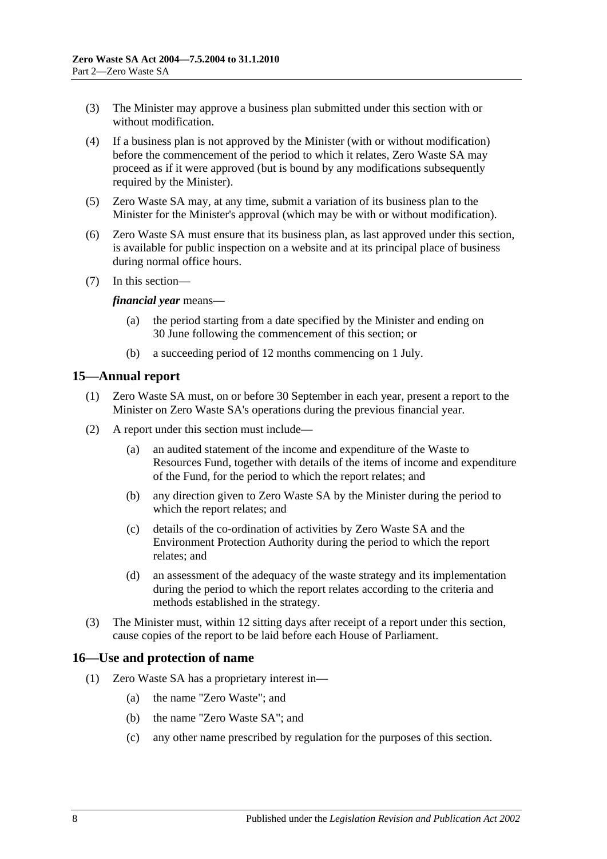- (3) The Minister may approve a business plan submitted under this section with or without modification.
- (4) If a business plan is not approved by the Minister (with or without modification) before the commencement of the period to which it relates, Zero Waste SA may proceed as if it were approved (but is bound by any modifications subsequently required by the Minister).
- (5) Zero Waste SA may, at any time, submit a variation of its business plan to the Minister for the Minister's approval (which may be with or without modification).
- (6) Zero Waste SA must ensure that its business plan, as last approved under this section, is available for public inspection on a website and at its principal place of business during normal office hours.
- (7) In this section—

#### *financial year* means—

- (a) the period starting from a date specified by the Minister and ending on 30 June following the commencement of this section; or
- (b) a succeeding period of 12 months commencing on 1 July.

#### <span id="page-7-0"></span>**15—Annual report**

- (1) Zero Waste SA must, on or before 30 September in each year, present a report to the Minister on Zero Waste SA's operations during the previous financial year.
- (2) A report under this section must include—
	- (a) an audited statement of the income and expenditure of the Waste to Resources Fund, together with details of the items of income and expenditure of the Fund, for the period to which the report relates; and
	- (b) any direction given to Zero Waste SA by the Minister during the period to which the report relates; and
	- (c) details of the co-ordination of activities by Zero Waste SA and the Environment Protection Authority during the period to which the report relates; and
	- (d) an assessment of the adequacy of the waste strategy and its implementation during the period to which the report relates according to the criteria and methods established in the strategy.
- (3) The Minister must, within 12 sitting days after receipt of a report under this section, cause copies of the report to be laid before each House of Parliament.

#### <span id="page-7-1"></span>**16—Use and protection of name**

- (1) Zero Waste SA has a proprietary interest in—
	- (a) the name "Zero Waste"; and
	- (b) the name "Zero Waste SA"; and
	- (c) any other name prescribed by regulation for the purposes of this section.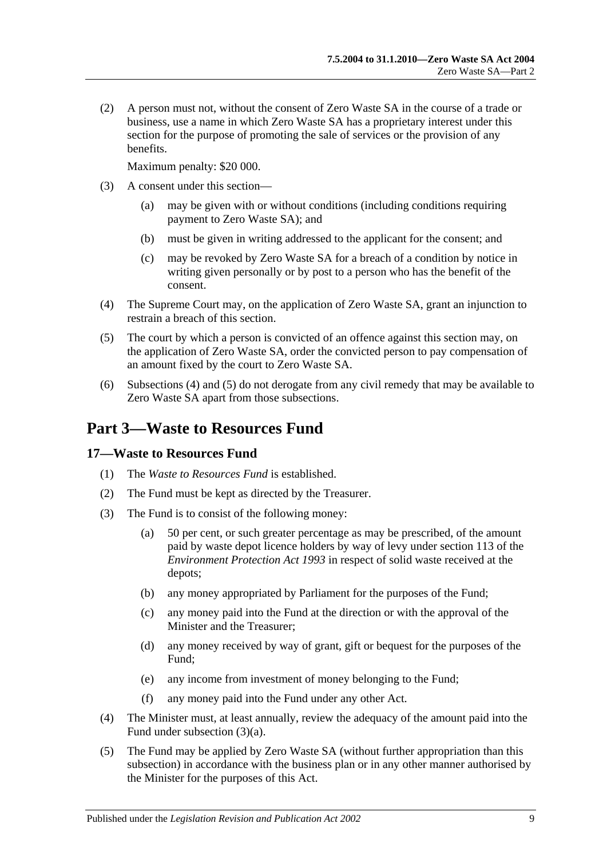(2) A person must not, without the consent of Zero Waste SA in the course of a trade or business, use a name in which Zero Waste SA has a proprietary interest under this section for the purpose of promoting the sale of services or the provision of any benefits.

Maximum penalty: \$20 000.

- (3) A consent under this section—
	- (a) may be given with or without conditions (including conditions requiring payment to Zero Waste SA); and
	- (b) must be given in writing addressed to the applicant for the consent; and
	- (c) may be revoked by Zero Waste SA for a breach of a condition by notice in writing given personally or by post to a person who has the benefit of the consent.
- <span id="page-8-2"></span>(4) The Supreme Court may, on the application of Zero Waste SA, grant an injunction to restrain a breach of this section.
- <span id="page-8-3"></span>(5) The court by which a person is convicted of an offence against this section may, on the application of Zero Waste SA, order the convicted person to pay compensation of an amount fixed by the court to Zero Waste SA.
- (6) [Subsections](#page-8-2) (4) and [\(5\)](#page-8-3) do not derogate from any civil remedy that may be available to Zero Waste SA apart from those subsections.

# <span id="page-8-0"></span>**Part 3—Waste to Resources Fund**

#### <span id="page-8-1"></span>**17—Waste to Resources Fund**

- (1) The *Waste to Resources Fund* is established.
- (2) The Fund must be kept as directed by the Treasurer.
- (3) The Fund is to consist of the following money:
	- (a) 50 per cent, or such greater percentage as may be prescribed, of the amount paid by waste depot licence holders by way of levy under section 113 of the *[Environment Protection Act](http://www.legislation.sa.gov.au/index.aspx?action=legref&type=act&legtitle=Environment%20Protection%20Act%201993) 1993* in respect of solid waste received at the depots;
	- (b) any money appropriated by Parliament for the purposes of the Fund;
	- (c) any money paid into the Fund at the direction or with the approval of the Minister and the Treasurer;
	- (d) any money received by way of grant, gift or bequest for the purposes of the Fund;
	- (e) any income from investment of money belonging to the Fund;
	- (f) any money paid into the Fund under any other Act.
- (4) The Minister must, at least annually, review the adequacy of the amount paid into the Fund under subsection (3)(a).
- (5) The Fund may be applied by Zero Waste SA (without further appropriation than this subsection) in accordance with the business plan or in any other manner authorised by the Minister for the purposes of this Act.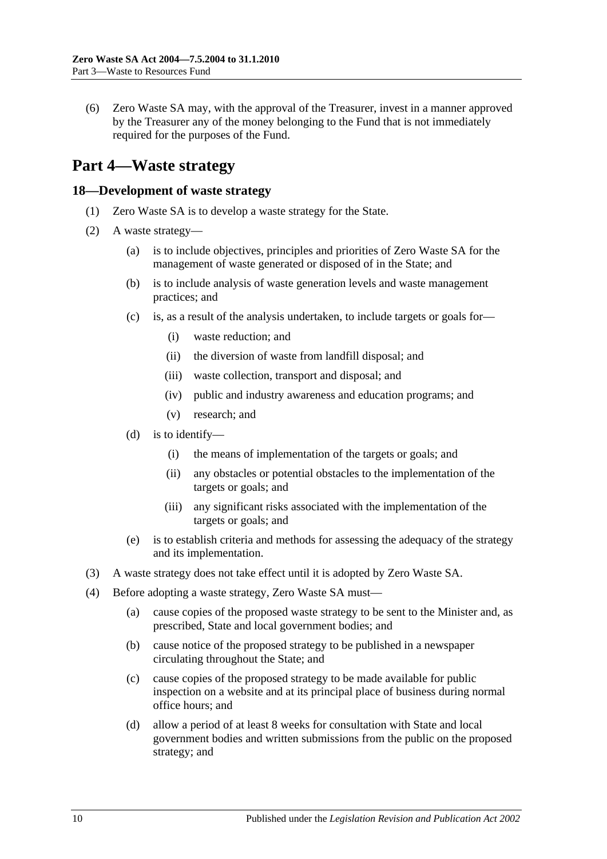(6) Zero Waste SA may, with the approval of the Treasurer, invest in a manner approved by the Treasurer any of the money belonging to the Fund that is not immediately required for the purposes of the Fund.

# <span id="page-9-0"></span>**Part 4—Waste strategy**

#### <span id="page-9-1"></span>**18—Development of waste strategy**

- (1) Zero Waste SA is to develop a waste strategy for the State.
- (2) A waste strategy—
	- (a) is to include objectives, principles and priorities of Zero Waste SA for the management of waste generated or disposed of in the State; and
	- (b) is to include analysis of waste generation levels and waste management practices; and
	- (c) is, as a result of the analysis undertaken, to include targets or goals for—
		- (i) waste reduction; and
		- (ii) the diversion of waste from landfill disposal; and
		- (iii) waste collection, transport and disposal; and
		- (iv) public and industry awareness and education programs; and
		- (v) research; and
	- (d) is to identify—
		- (i) the means of implementation of the targets or goals; and
		- (ii) any obstacles or potential obstacles to the implementation of the targets or goals; and
		- (iii) any significant risks associated with the implementation of the targets or goals; and
	- (e) is to establish criteria and methods for assessing the adequacy of the strategy and its implementation.
- (3) A waste strategy does not take effect until it is adopted by Zero Waste SA.
- (4) Before adopting a waste strategy, Zero Waste SA must—
	- (a) cause copies of the proposed waste strategy to be sent to the Minister and, as prescribed, State and local government bodies; and
	- (b) cause notice of the proposed strategy to be published in a newspaper circulating throughout the State; and
	- (c) cause copies of the proposed strategy to be made available for public inspection on a website and at its principal place of business during normal office hours; and
	- (d) allow a period of at least 8 weeks for consultation with State and local government bodies and written submissions from the public on the proposed strategy; and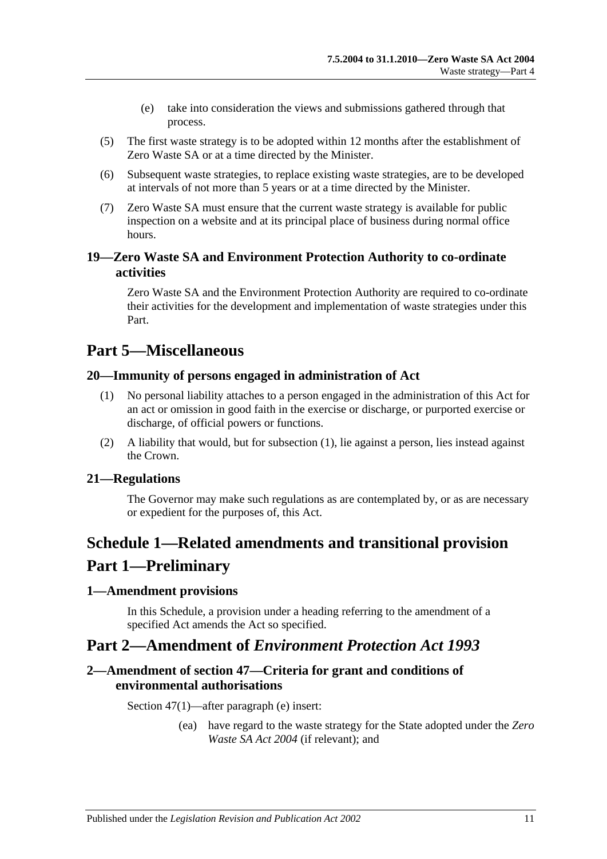- (e) take into consideration the views and submissions gathered through that process.
- (5) The first waste strategy is to be adopted within 12 months after the establishment of Zero Waste SA or at a time directed by the Minister.
- (6) Subsequent waste strategies, to replace existing waste strategies, are to be developed at intervals of not more than 5 years or at a time directed by the Minister.
- (7) Zero Waste SA must ensure that the current waste strategy is available for public inspection on a website and at its principal place of business during normal office hours.

### <span id="page-10-0"></span>**19—Zero Waste SA and Environment Protection Authority to co-ordinate activities**

Zero Waste SA and the Environment Protection Authority are required to co-ordinate their activities for the development and implementation of waste strategies under this Part.

# <span id="page-10-1"></span>**Part 5—Miscellaneous**

### <span id="page-10-7"></span><span id="page-10-2"></span>**20—Immunity of persons engaged in administration of Act**

- (1) No personal liability attaches to a person engaged in the administration of this Act for an act or omission in good faith in the exercise or discharge, or purported exercise or discharge, of official powers or functions.
- (2) A liability that would, but for [subsection](#page-10-7) (1), lie against a person, lies instead against the Crown.

### <span id="page-10-3"></span>**21—Regulations**

The Governor may make such regulations as are contemplated by, or as are necessary or expedient for the purposes of, this Act.

# <span id="page-10-4"></span>**Schedule 1—Related amendments and transitional provision Part 1—Preliminary**

#### <span id="page-10-5"></span>**1—Amendment provisions**

In this Schedule, a provision under a heading referring to the amendment of a specified Act amends the Act so specified.

## **Part 2—Amendment of** *Environment Protection Act 1993*

### <span id="page-10-6"></span>**2—Amendment of section 47—Criteria for grant and conditions of environmental authorisations**

Section 47(1)—after paragraph (e) insert:

(ea) have regard to the waste strategy for the State adopted under the *[Zero](http://www.legislation.sa.gov.au/index.aspx?action=legref&type=act&legtitle=Zero%20Waste%20SA%20Act%202004)  [Waste SA Act 2004](http://www.legislation.sa.gov.au/index.aspx?action=legref&type=act&legtitle=Zero%20Waste%20SA%20Act%202004)* (if relevant); and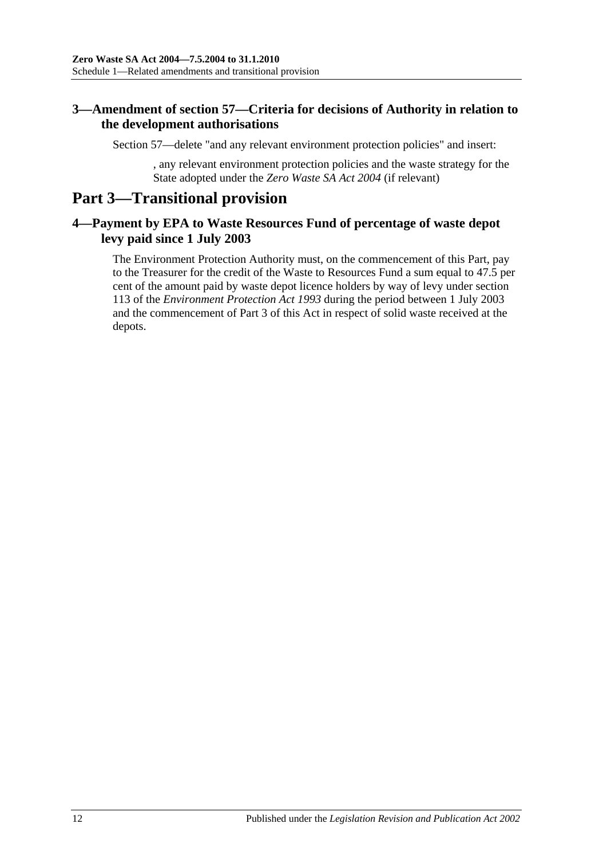### <span id="page-11-0"></span>**3—Amendment of section 57—Criteria for decisions of Authority in relation to the development authorisations**

Section 57—delete "and any relevant environment protection policies" and insert:

, any relevant environment protection policies and the waste strategy for the State adopted under the *[Zero Waste SA Act 2004](http://www.legislation.sa.gov.au/index.aspx?action=legref&type=act&legtitle=Zero%20Waste%20SA%20Act%202004)* (if relevant)

# **Part 3—Transitional provision**

### <span id="page-11-1"></span>**4—Payment by EPA to Waste Resources Fund of percentage of waste depot levy paid since 1 July 2003**

The Environment Protection Authority must, on the commencement of this Part, pay to the Treasurer for the credit of the Waste to Resources Fund a sum equal to 47.5 per cent of the amount paid by waste depot licence holders by way of levy under section 113 of the *[Environment Protection Act](http://www.legislation.sa.gov.au/index.aspx?action=legref&type=act&legtitle=Environment%20Protection%20Act%201993) 1993* during the period between 1 July 2003 and the commencement of Part 3 of this Act in respect of solid waste received at the depots.